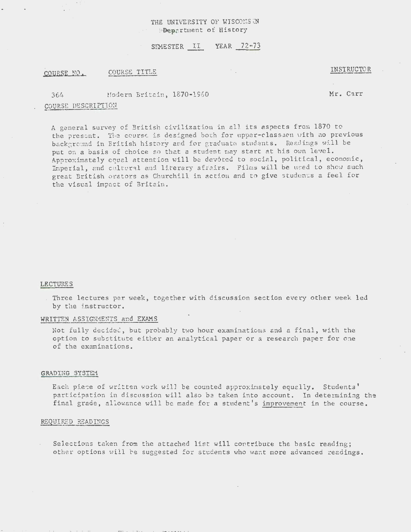# THE UNIVERSITY OF WISCONS ON · ·.tl'l>epartment *oi* History

## SEMESTER II YEAR 72-73

## COURSE NO. COURSE TITLE

### INSTRUCTOR

36/+ Hodern Britain, 1870-1960

Mr. Carr

# COURSE DESCRIPTION

A general survey of British civilization in all its aspects from 1870 to the present. The course is designed both for upper-classmen with no previous background in British history and for graduate students. Readings will be put on *a* basis of choice so that a student may start at his own level. Approximately equal attention will be devoted to social, political, economic, Imperial, and cultural and literary affairs. Films will be used to show such great British orators as Churchill in action and to give students a feel for the visual impact of Britain.

### LECTURES

Three lectures per week, together with discussion section every other week led by the instructor.

## WRITTEN ASSIGNMENTS and EXAMS

Not fully decided, but probably two hour examinations and a final, with the option to substitute either an analytical paper or a research paper for one of the examinations.

#### GRADING SYSTEM

Each piece of written work will be counted approximately equally. Students' participation in discussion will also be taken into account. In determining the final grade, allowance will be made for a student's improvement in the course.

#### REQUIRED READINGS

Selections taken from the attached list will contribute the basic reading; other options will be suggested for students who want more advanced readings.